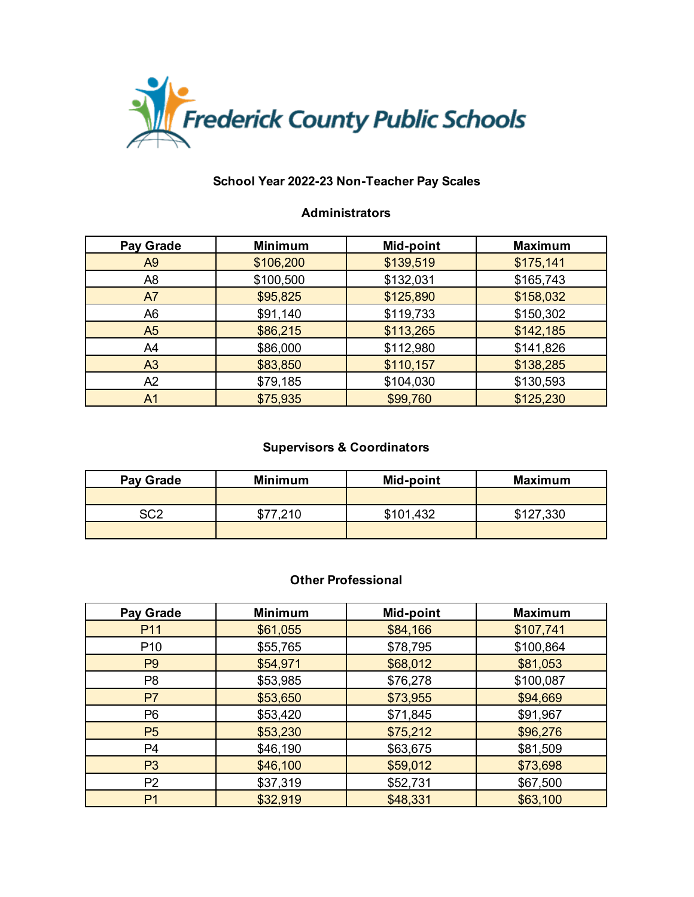

## **Administrators**

| <b>Pay Grade</b> | <b>Minimum</b> | <b>Mid-point</b> | <b>Maximum</b> |
|------------------|----------------|------------------|----------------|
| A <sub>9</sub>   | \$106,200      | \$139,519        | \$175,141      |
| A <sub>8</sub>   | \$100,500      | \$132,031        | \$165,743      |
| A7               | \$95,825       | \$125,890        | \$158,032      |
| A <sub>6</sub>   | \$91,140       | \$119,733        | \$150,302      |
| A <sub>5</sub>   | \$86,215       | \$113,265        | \$142,185      |
| A4               | \$86,000       | \$112,980        | \$141,826      |
| A <sub>3</sub>   | \$83,850       | \$110,157        | \$138,285      |
| A2               | \$79,185       | \$104,030        | \$130,593      |
| A <sub>1</sub>   | \$75,935       | \$99,760         | \$125,230      |

## **Supervisors & Coordinators**

| Pay Grade | <b>Minimum</b> | Mid-point | <b>Maximum</b> |
|-----------|----------------|-----------|----------------|
|           |                |           |                |
| ⊂∩າ       | \$77 210       | \$101,432 | \$127,330      |
|           |                |           |                |

### **Other Professional**

| <b>Pay Grade</b> | <b>Minimum</b> | Mid-point | <b>Maximum</b> |
|------------------|----------------|-----------|----------------|
| P <sub>11</sub>  | \$61,055       | \$84,166  | \$107,741      |
| P <sub>10</sub>  | \$55,765       | \$78,795  | \$100,864      |
| P <sub>9</sub>   | \$54,971       | \$68,012  | \$81,053       |
| P <sub>8</sub>   | \$53,985       | \$76,278  | \$100,087      |
| P <sub>7</sub>   | \$53,650       | \$73,955  | \$94,669       |
| P <sub>6</sub>   | \$53,420       | \$71,845  | \$91,967       |
| P <sub>5</sub>   | \$53,230       | \$75,212  | \$96,276       |
| P4               | \$46,190       | \$63,675  | \$81,509       |
| P <sub>3</sub>   | \$46,100       | \$59,012  | \$73,698       |
| P <sub>2</sub>   | \$37,319       | \$52,731  | \$67,500       |
| P <sub>1</sub>   | \$32,919       | \$48,331  | \$63,100       |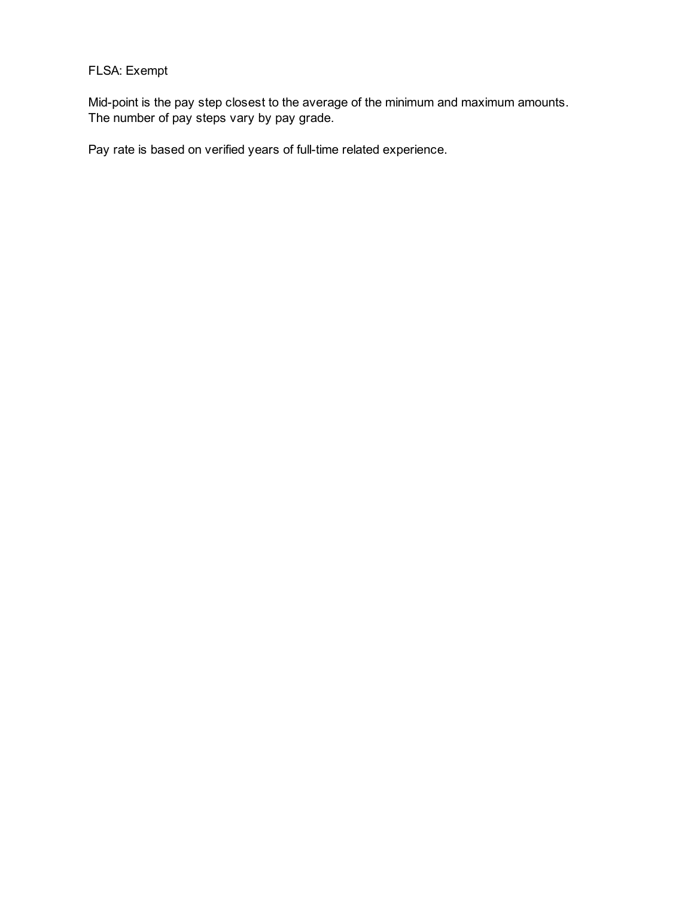# FLSA: Exempt

Mid-point is the pay step closest to the average of the minimum and maximum amounts. The number of pay steps vary by pay grade.

Pay rate is based on verified years of full-time related experience.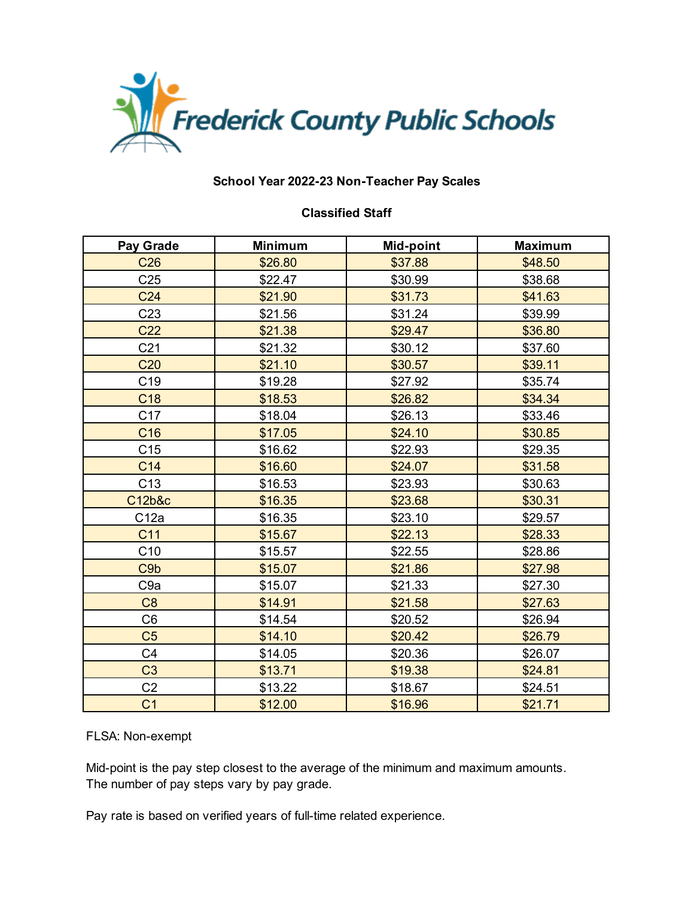

#### **Classified Staff**

| Pay Grade        | <b>Minimum</b> | Mid-point | <b>Maximum</b> |
|------------------|----------------|-----------|----------------|
| C <sub>26</sub>  | \$26.80        | \$37.88   | \$48.50        |
| C <sub>25</sub>  | \$22.47        | \$30.99   | \$38.68        |
| C <sub>24</sub>  | \$21.90        | \$31.73   | \$41.63        |
| C <sub>23</sub>  | \$21.56        | \$31.24   | \$39.99        |
| C <sub>22</sub>  | \$21.38        | \$29.47   | \$36.80        |
| C <sub>21</sub>  | \$21.32        | \$30.12   | \$37.60        |
| C <sub>20</sub>  | \$21.10        | \$30.57   | \$39.11        |
| C <sub>19</sub>  | \$19.28        | \$27.92   | \$35.74        |
| C <sub>18</sub>  | \$18.53        | \$26.82   | \$34.34        |
| C <sub>17</sub>  | \$18.04        | \$26.13   | \$33.46        |
| C16              | \$17.05        | \$24.10   | \$30.85        |
| C <sub>15</sub>  | \$16.62        | \$22.93   | \$29.35        |
| C14              | \$16.60        | \$24.07   | \$31.58        |
| C <sub>13</sub>  | \$16.53        | \$23.93   | \$30.63        |
| C12b&c           | \$16.35        | \$23.68   | \$30.31        |
| C12a             | \$16.35        | \$23.10   | \$29.57        |
| C <sub>11</sub>  | \$15.67        | \$22.13   | \$28.33        |
| C10              | \$15.57        | \$22.55   | \$28.86        |
| C <sub>9</sub> b | \$15.07        | \$21.86   | \$27.98        |
| C <sub>9a</sub>  | \$15.07        | \$21.33   | \$27.30        |
| C <sub>8</sub>   | \$14.91        | \$21.58   | \$27.63        |
| C <sub>6</sub>   | \$14.54        | \$20.52   | \$26.94        |
| C <sub>5</sub>   | \$14.10        | \$20.42   | \$26.79        |
| C <sub>4</sub>   | \$14.05        | \$20.36   | \$26.07        |
| C <sub>3</sub>   | \$13.71        | \$19.38   | \$24.81        |
| C <sub>2</sub>   | \$13.22        | \$18.67   | \$24.51        |
| C <sub>1</sub>   | \$12.00        | \$16.96   | \$21.71        |

### FLSA: Non-exempt

Mid-point is the pay step closest to the average of the minimum and maximum amounts. The number of pay steps vary by pay grade.

Pay rate is based on verified years of full-time related experience.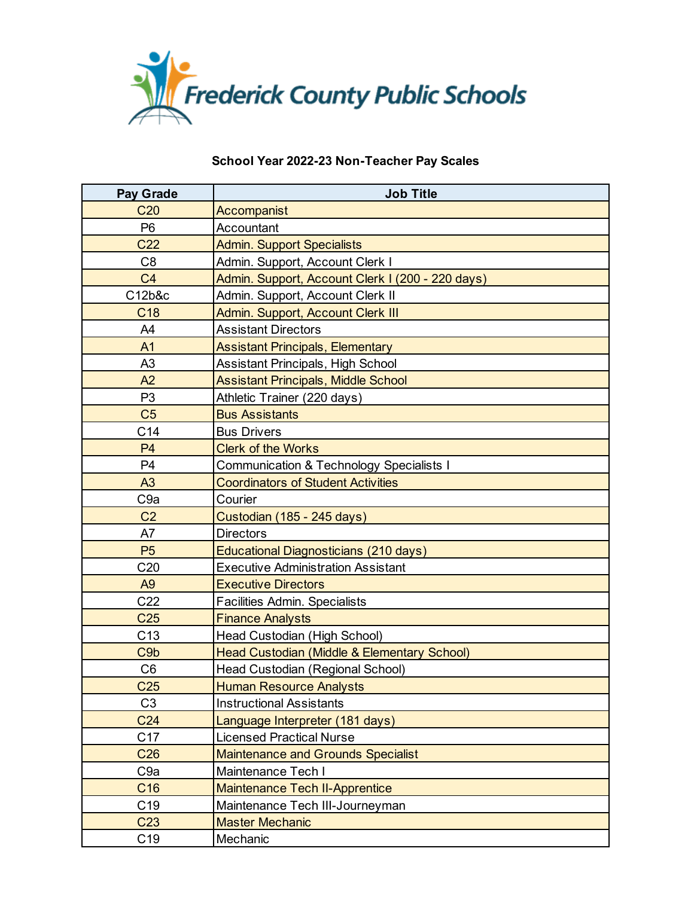

| <b>Pay Grade</b> | <b>Job Title</b>                                 |
|------------------|--------------------------------------------------|
| C <sub>20</sub>  | Accompanist                                      |
| P <sub>6</sub>   | Accountant                                       |
| C <sub>22</sub>  | <b>Admin. Support Specialists</b>                |
| C <sub>8</sub>   | Admin. Support, Account Clerk I                  |
| C <sub>4</sub>   | Admin. Support, Account Clerk I (200 - 220 days) |
| C12b&c           | Admin. Support, Account Clerk II                 |
| C <sub>18</sub>  | Admin. Support, Account Clerk III                |
| A4               | <b>Assistant Directors</b>                       |
| A1               | <b>Assistant Principals, Elementary</b>          |
| A <sub>3</sub>   | Assistant Principals, High School                |
| A2               | <b>Assistant Principals, Middle School</b>       |
| P <sub>3</sub>   | Athletic Trainer (220 days)                      |
| C <sub>5</sub>   | <b>Bus Assistants</b>                            |
| C <sub>14</sub>  | <b>Bus Drivers</b>                               |
| <b>P4</b>        | <b>Clerk of the Works</b>                        |
| P <sub>4</sub>   | Communication & Technology Specialists I         |
| A <sub>3</sub>   | <b>Coordinators of Student Activities</b>        |
| C <sub>9a</sub>  | Courier                                          |
| C <sub>2</sub>   | Custodian (185 - 245 days)                       |
| A7               | <b>Directors</b>                                 |
| P <sub>5</sub>   | Educational Diagnosticians (210 days)            |
| C <sub>20</sub>  | <b>Executive Administration Assistant</b>        |
| A <sub>9</sub>   | <b>Executive Directors</b>                       |
| C <sub>22</sub>  | Facilities Admin. Specialists                    |
| C <sub>25</sub>  | <b>Finance Analysts</b>                          |
| C13              | Head Custodian (High School)                     |
| C <sub>9</sub> b | Head Custodian (Middle & Elementary School)      |
| C <sub>6</sub>   | Head Custodian (Regional School)                 |
| C <sub>25</sub>  | <b>Human Resource Analysts</b>                   |
| C <sub>3</sub>   | <b>Instructional Assistants</b>                  |
| C <sub>24</sub>  | Language Interpreter (181 days)                  |
| C17              | <b>Licensed Practical Nurse</b>                  |
| C <sub>26</sub>  | <b>Maintenance and Grounds Specialist</b>        |
| C <sub>9a</sub>  | Maintenance Tech I                               |
| C <sub>16</sub>  | <b>Maintenance Tech II-Apprentice</b>            |
| C <sub>19</sub>  | Maintenance Tech III-Journeyman                  |
| C <sub>23</sub>  | <b>Master Mechanic</b>                           |
| C <sub>19</sub>  | Mechanic                                         |